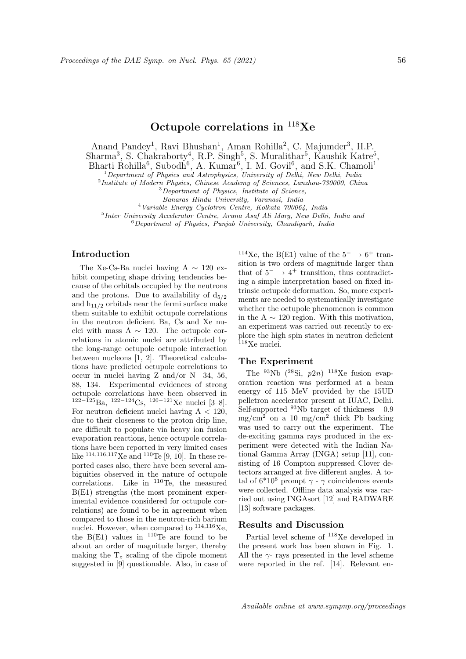# Octupole correlations in  $^{118}Xe$

Anand Pandey<sup>1</sup>, Ravi Bhushan<sup>1</sup>, Aman Rohilla<sup>2</sup>, C. Majumder<sup>3</sup>, H.P.  $\text{Sharma}^3$ , S. Chakraborty<sup>4</sup>, R.P. Singh<sup>5</sup>, S. Muralithar<sup>5</sup>, Kaushik Katre<sup>5</sup>, Bharti Rohilla<sup>6</sup>, Subodh<sup>6</sup>, A. Kumar<sup>6</sup>, I. M. Govil<sup>6</sup>, and S.K. Chamoli<sup>1</sup>

 $1$ Department of Physics and Astrophysics, University of Delhi, New Delhi, India

<sup>2</sup>Institute of Modern Physics, Chinese Academy of Sciences, Lanzhou-730000, China

<sup>3</sup>Department of Physics, Institute of Science,

Banaras Hindu University, Varanasi, India

<sup>4</sup>Variable Energy Cyclotron Centre, Kolkata 700064, India

5 Inter University Accelerator Centre, Aruna Asaf Ali Marg, New Delhi, India and

 $6$ Department of Physics, Punjab University, Chandigarh, India

### Introduction

The Xe-Cs-Ba nuclei having A ∼ 120 exhibit competing shape driving tendencies because of the orbitals occupied by the neutrons and the protons. Due to availability of  $d_{5/2}$ and  $h_{11/2}$  orbitals near the fermi surface make them suitable to exhibit octupole correlations in the neutron deficient Ba, Cs and Xe nuclei with mass A  $\sim$  120. The octupole correlations in atomic nuclei are attributed by the long-range octupole–octupole interaction between nucleons [1, 2]. Theoretical calculations have predicted octupole correlations to occur in nuclei having Z and/or N 34, 56, 88, 134. Experimental evidences of strong octupole correlations have been observed in  $122-\overline{125}Ba$ ,  $122-124Cs$ ,  $120-121Xe$  nuclei [3–8]. For neutron deficient nuclei having  $A < 120$ , due to their closeness to the proton drip line, are difficult to populate via heavy ion fusion evaporation reactions, hence octupole correlations have been reported in very limited cases like  $^{114,116,117}$ Xe and  $^{110}$ Te [9, 10]. In these reported cases also, there have been several ambiguities observed in the nature of octupole correlations. Like in  $110$ Te, the measured B(E1) strengths (the most prominent experimental evidence considered for octupole correlations) are found to be in agreement when compared to those in the neutron-rich barium nuclei. However, when compared to  $^{114,116}$ Xe, the  $B(E1)$  values in <sup>110</sup>Te are found to be about an order of magnitude larger, thereby making the  $T_z$  scaling of the dipole moment suggested in [9] questionable. Also, in case of

<sup>114</sup>Xe, the B(E1) value of the  $5^- \rightarrow 6^+$  transition is two orders of magnitude larger than that of  $5^- \rightarrow 4^+$  transition, thus contradicting a simple interpretation based on fixed intrinsic octupole deformation. So, more experiments are needed to systematically investigate whether the octupole phenomenon is common in the A  $\sim$  120 region. With this motivation, an experiment was carried out recently to explore the high spin states in neutron deficient <sup>118</sup>Xe nuclei.

#### The Experiment

The  $^{93}$ Nb  $(^{28}Si, p2n)$   $^{118}Xe$  fusion evaporation reaction was performed at a beam energy of 115 MeV provided by the 15UD pelletron accelerator present at IUAC, Delhi. Self-supported  $93Nb$  target of thickness 0.9  $mg/cm<sup>2</sup>$  on a 10 mg/cm<sup>2</sup> thick Pb backing was used to carry out the experiment. The de-exciting gamma rays produced in the experiment were detected with the Indian National Gamma Array (INGA) setup [11], consisting of 16 Compton suppressed Clover detectors arranged at five different angles. A total of  $6*10^8$  prompt  $\gamma$  -  $\gamma$  coincidences events were collected. Offline data analysis was carried out using INGAsort [12] and RADWARE [13] software packages.

## Results and Discussion

Partial level scheme of <sup>118</sup>Xe developed in the present work has been shown in Fig. 1. All the  $\gamma$ - rays presented in the level scheme were reported in the ref. [14]. Relevant en-